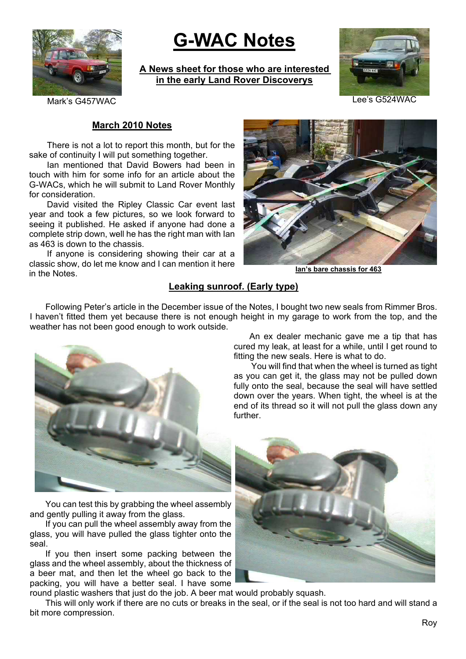

# **G-WAC Notes**

**A News sheet for those who are interested in the early Land Rover Discoverys**



Mark's G457WAC Lee's G524WAC

#### **March 2010 Notes**

There is not a lot to report this month, but for the sake of continuity I will put something together.

Ian mentioned that David Bowers had been in touch with him for some info for an article about the G-WACs, which he will submit to Land Rover Monthly for consideration.

David visited the Ripley Classic Car event last year and took a few pictures, so we look forward to seeing it published. He asked if anyone had done a complete strip down, well he has the right man with Ian as 463 is down to the chassis.

If anyone is considering showing their car at a classic show, do let me know and I can mention it here in the Notes.



**Ian's bare chassis for 463**

### **Leaking sunroof. (Early type)**

Following Peter's article in the December issue of the Notes, I bought two new seals from Rimmer Bros. I haven't fitted them yet because there is not enough height in my garage to work from the top, and the weather has not been good enough to work outside.



You can test this by grabbing the wheel assembly and gently pulling it away from the glass.

If you can pull the wheel assembly away from the glass, you will have pulled the glass tighter onto the seal.

If you then insert some packing between the glass and the wheel assembly, about the thickness of a beer mat, and then let the wheel go back to the packing, you will have a better seal. I have some

An ex dealer mechanic gave me a tip that has cured my leak, at least for a while, until I get round to fitting the new seals. Here is what to do.

You will find that when the wheel is turned as tight as you can get it, the glass may not be pulled down fully onto the seal, because the seal will have settled down over the years. When tight, the wheel is at the end of its thread so it will not pull the glass down any further.



round plastic washers that just do the job. A beer mat would probably squash.

This will only work if there are no cuts or breaks in the seal, or if the seal is not too hard and will stand a bit more compression.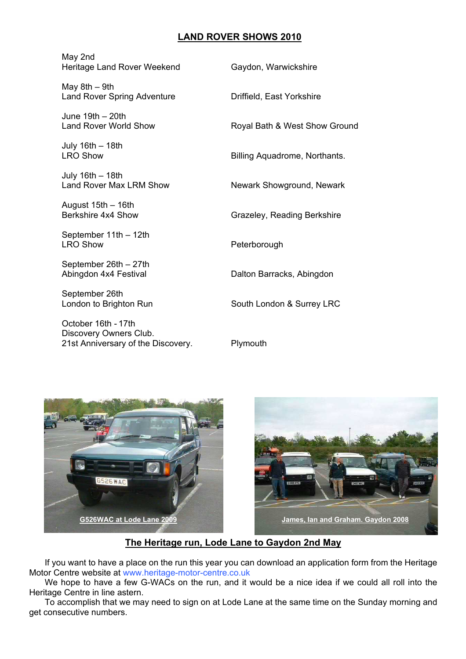## **LAND ROVER SHOWS 2010**

| May 2nd<br>Heritage Land Rover Weekend                                              | Gaydon, Warwickshire          |
|-------------------------------------------------------------------------------------|-------------------------------|
| May $8th - 9th$<br><b>Land Rover Spring Adventure</b>                               | Driffield, East Yorkshire     |
| June 19th - 20th<br><b>Land Rover World Show</b>                                    | Royal Bath & West Show Ground |
| July 16th - 18th<br><b>LRO Show</b>                                                 | Billing Aquadrome, Northants. |
| July 16th - 18th<br><b>Land Rover Max LRM Show</b>                                  | Newark Showground, Newark     |
| August 15th - 16th<br>Berkshire 4x4 Show                                            | Grazeley, Reading Berkshire   |
| September 11th - 12th<br><b>LRO Show</b>                                            | Peterborough                  |
| September 26th - 27th<br>Abingdon 4x4 Festival                                      | Dalton Barracks, Abingdon     |
| September 26th<br>London to Brighton Run                                            | South London & Surrey LRC     |
| October 16th - 17th<br>Discovery Owners Club.<br>21st Anniversary of the Discovery. | Plymouth                      |





### **The Heritage run, Lode Lane to Gaydon 2nd May**

If you want to have a place on the run this year you can download an application form from the Heritage Motor Centre website at www.heritage-motor-centre.co.uk

We hope to have a few G-WACs on the run, and it would be a nice idea if we could all roll into the Heritage Centre in line astern.

To accomplish that we may need to sign on at Lode Lane at the same time on the Sunday morning and get consecutive numbers.